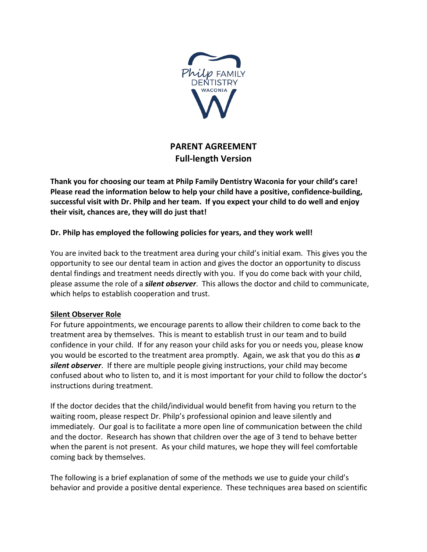

## **PARENT AGREEMENT Full-length Version**

**Thank you for choosing our team at Philp Family Dentistry Waconia for your child's care! Please read the information below to help your child have a positive, confidence-building, successful visit with Dr. Philp and her team. If you expect your child to do well and enjoy their visit, chances are, they will do just that!**

## **Dr. Philp has employed the following policies for years, and they work well!**

You are invited back to the treatment area during your child's initial exam. This gives you the opportunity to see our dental team in action and gives the doctor an opportunity to discuss dental findings and treatment needs directly with you. If you do come back with your child, please assume the role of a *silent observer*. This allows the doctor and child to communicate, which helps to establish cooperation and trust.

## **Silent Observer Role**

For future appointments, we encourage parents to allow their children to come back to the treatment area by themselves. This is meant to establish trust in our team and to build confidence in your child. If for any reason your child asks for you or needs you, please know you would be escorted to the treatment area promptly. Again, we ask that you do this as *a silent observer*. If there are multiple people giving instructions, your child may become confused about who to listen to, and it is most important for your child to follow the doctor's instructions during treatment.

If the doctor decides that the child/individual would benefit from having you return to the waiting room, please respect Dr. Philp's professional opinion and leave silently and immediately. Our goal is to facilitate a more open line of communication between the child and the doctor. Research has shown that children over the age of 3 tend to behave better when the parent is not present. As your child matures, we hope they will feel comfortable coming back by themselves.

The following is a brief explanation of some of the methods we use to guide your child's behavior and provide a positive dental experience. These techniques area based on scientific